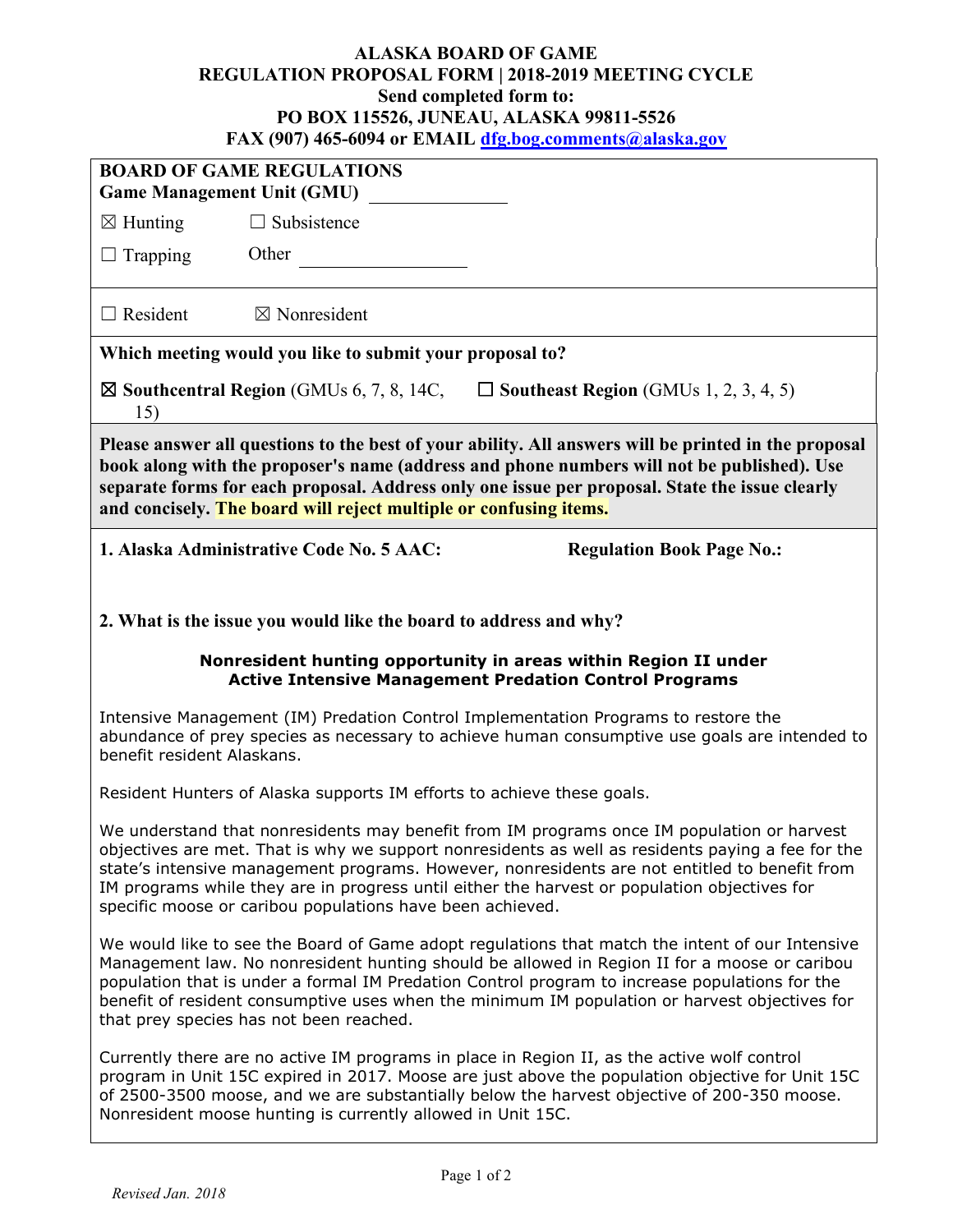## **ALASKA BOARD OF GAME REGULATION PROPOSAL FORM | 2018-2019 MEETING CYCLE Send completed form to: PO BOX 115526, JUNEAU, ALASKA 99811-5526 FAX (907) 465-6094 or EMAIL [dfg.bog.comments@alaska.gov](mailto:dfg.bog.comments@alaska.gov)**

| ГАЛ (707) ТОЭ-ОО7Т ОГ ЕЛИАНД <b>игдэлсгэлтэн бариалтагч</b> ү                                                                                                                                                                                                                                                                                                                                                                                                 |                                                                   |                                  |  |  |
|---------------------------------------------------------------------------------------------------------------------------------------------------------------------------------------------------------------------------------------------------------------------------------------------------------------------------------------------------------------------------------------------------------------------------------------------------------------|-------------------------------------------------------------------|----------------------------------|--|--|
| <b>BOARD OF GAME REGULATIONS</b><br><b>Game Management Unit (GMU)</b>                                                                                                                                                                                                                                                                                                                                                                                         |                                                                   |                                  |  |  |
| $\boxtimes$ Hunting                                                                                                                                                                                                                                                                                                                                                                                                                                           | $\Box$ Subsistence                                                |                                  |  |  |
| $\Box$ Trapping                                                                                                                                                                                                                                                                                                                                                                                                                                               | Other                                                             |                                  |  |  |
| $\Box$ Resident                                                                                                                                                                                                                                                                                                                                                                                                                                               | $\boxtimes$ Nonresident                                           |                                  |  |  |
| Which meeting would you like to submit your proposal to?                                                                                                                                                                                                                                                                                                                                                                                                      |                                                                   |                                  |  |  |
| $\boxtimes$ Southcentral Region (GMUs 6, 7, 8, 14C,<br>$\Box$ Southeast Region (GMUs 1, 2, 3, 4, 5)<br>15)                                                                                                                                                                                                                                                                                                                                                    |                                                                   |                                  |  |  |
| Please answer all questions to the best of your ability. All answers will be printed in the proposal<br>book along with the proposer's name (address and phone numbers will not be published). Use<br>separate forms for each proposal. Address only one issue per proposal. State the issue clearly<br>and concisely. The board will reject multiple or confusing items.                                                                                     |                                                                   |                                  |  |  |
|                                                                                                                                                                                                                                                                                                                                                                                                                                                               | 1. Alaska Administrative Code No. 5 AAC:                          | <b>Regulation Book Page No.:</b> |  |  |
|                                                                                                                                                                                                                                                                                                                                                                                                                                                               |                                                                   |                                  |  |  |
|                                                                                                                                                                                                                                                                                                                                                                                                                                                               | 2. What is the issue you would like the board to address and why? |                                  |  |  |
| Nonresident hunting opportunity in areas within Region II under<br><b>Active Intensive Management Predation Control Programs</b>                                                                                                                                                                                                                                                                                                                              |                                                                   |                                  |  |  |
| Intensive Management (IM) Predation Control Implementation Programs to restore the<br>abundance of prey species as necessary to achieve human consumptive use goals are intended to<br>benefit resident Alaskans.                                                                                                                                                                                                                                             |                                                                   |                                  |  |  |
| Resident Hunters of Alaska supports IM efforts to achieve these goals.                                                                                                                                                                                                                                                                                                                                                                                        |                                                                   |                                  |  |  |
| We understand that nonresidents may benefit from IM programs once IM population or harvest<br>objectives are met. That is why we support nonresidents as well as residents paying a fee for the<br>state's intensive management programs. However, nonresidents are not entitled to benefit from<br>IM programs while they are in progress until either the harvest or population objectives for<br>specific moose or caribou populations have been achieved. |                                                                   |                                  |  |  |
| We would like to see the Board of Game adopt regulations that match the intent of our Intensive<br>Management law. No nonresident hunting should be allowed in Region II for a moose or caribou<br>population that is under a formal IM Predation Control program to increase populations for the<br>benefit of resident consumptive uses when the minimum IM population or harvest objectives for<br>that prey species has not been reached.                 |                                                                   |                                  |  |  |
| Currently there are no active IM programs in place in Region II, as the active wolf control<br>program in Unit 15C expired in 2017. Moose are just above the population objective for Unit 15C<br>of 2500-3500 moose, and we are substantially below the harvest objective of 200-350 moose.<br>Nonresident moose hunting is currently allowed in Unit 15C.                                                                                                   |                                                                   |                                  |  |  |